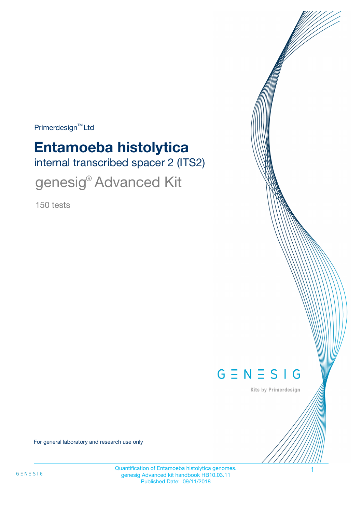Primerdesign<sup>™</sup>Ltd

# internal transcribed spacer 2 (ITS2) **Entamoeba histolytica**

genesig® Advanced Kit

150 tests



Kits by Primerdesign

For general laboratory and research use only

Quantification of Entamoeba histolytica genomes. 1 genesig Advanced kit handbook HB10.03.11 Published Date: 09/11/2018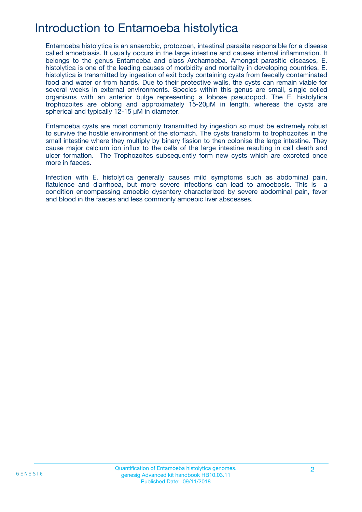## Introduction to Entamoeba histolytica

Entamoeba histolytica is an anaerobic, protozoan, intestinal parasite responsible for a disease called amoebiasis. It usually occurs in the large intestine and causes internal inflammation. It belongs to the genus Entamoeba and class Archamoeba. Amongst parasitic diseases, E. histolytica is one of the leading causes of morbidity and mortality in developing countries. E. histolytica is transmitted by ingestion of exit body containing cysts from faecally contaminated food and water or from hands. Due to their protective walls, the cysts can remain viable for several weeks in external environments. Species within this genus are small, single celled organisms with an anterior bulge representing a lobose pseudopod. The E. histolytica trophozoites are oblong and approximately 15-20µM in length, whereas the cysts are spherical and typically 12-15 µM in diameter.

Entamoeba cysts are most commonly transmitted by ingestion so must be extremely robust to survive the hostile environment of the stomach. The cysts transform to trophozoites in the small intestine where they multiply by binary fission to then colonise the large intestine. They cause major calcium ion influx to the cells of the large intestine resulting in cell death and ulcer formation. The Trophozoites subsequently form new cysts which are excreted once more in faeces.

Infection with E. histolytica generally causes mild symptoms such as abdominal pain, flatulence and diarrhoea, but more severe infections can lead to amoebosis. This is a condition encompassing amoebic dysentery characterized by severe abdominal pain, fever and blood in the faeces and less commonly amoebic liver abscesses.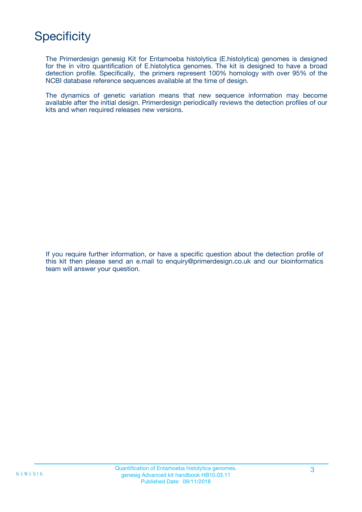## **Specificity**

The Primerdesign genesig Kit for Entamoeba histolytica (E.histolytica) genomes is designed for the in vitro quantification of E.histolytica genomes. The kit is designed to have a broad detection profile. Specifically, the primers represent 100% homology with over 95% of the NCBI database reference sequences available at the time of design.

The dynamics of genetic variation means that new sequence information may become available after the initial design. Primerdesign periodically reviews the detection profiles of our kits and when required releases new versions.

If you require further information, or have a specific question about the detection profile of this kit then please send an e.mail to enquiry@primerdesign.co.uk and our bioinformatics team will answer your question.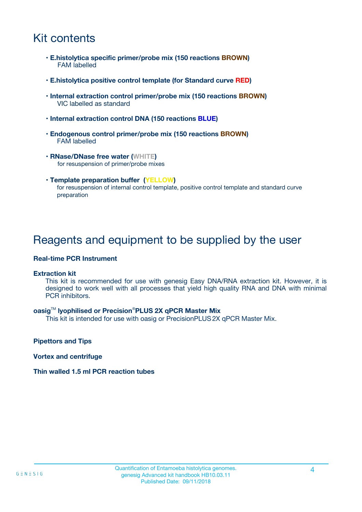## Kit contents

- **E.histolytica specific primer/probe mix (150 reactions BROWN)** FAM labelled
- **E.histolytica positive control template (for Standard curve RED)**
- **Internal extraction control primer/probe mix (150 reactions BROWN)** VIC labelled as standard
- **Internal extraction control DNA (150 reactions BLUE)**
- **Endogenous control primer/probe mix (150 reactions BROWN)** FAM labelled
- **RNase/DNase free water (WHITE)** for resuspension of primer/probe mixes
- **Template preparation buffer (YELLOW)** for resuspension of internal control template, positive control template and standard curve preparation

### Reagents and equipment to be supplied by the user

#### **Real-time PCR Instrument**

#### **Extraction kit**

This kit is recommended for use with genesig Easy DNA/RNA extraction kit. However, it is designed to work well with all processes that yield high quality RNA and DNA with minimal PCR inhibitors.

#### **oasig**TM **lyophilised or Precision**®**PLUS 2X qPCR Master Mix**

This kit is intended for use with oasig or PrecisionPLUS2X qPCR Master Mix.

**Pipettors and Tips**

**Vortex and centrifuge**

#### **Thin walled 1.5 ml PCR reaction tubes**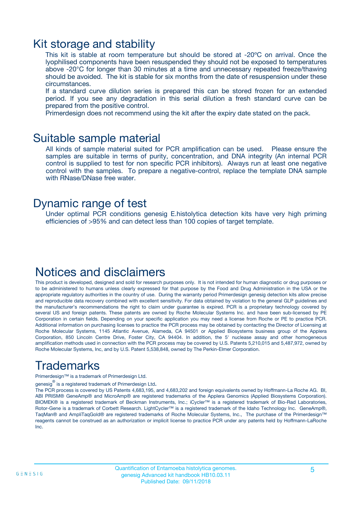### Kit storage and stability

This kit is stable at room temperature but should be stored at -20ºC on arrival. Once the lyophilised components have been resuspended they should not be exposed to temperatures above -20°C for longer than 30 minutes at a time and unnecessary repeated freeze/thawing should be avoided. The kit is stable for six months from the date of resuspension under these circumstances.

If a standard curve dilution series is prepared this can be stored frozen for an extended period. If you see any degradation in this serial dilution a fresh standard curve can be prepared from the positive control.

Primerdesign does not recommend using the kit after the expiry date stated on the pack.

### Suitable sample material

All kinds of sample material suited for PCR amplification can be used. Please ensure the samples are suitable in terms of purity, concentration, and DNA integrity (An internal PCR control is supplied to test for non specific PCR inhibitors). Always run at least one negative control with the samples. To prepare a negative-control, replace the template DNA sample with RNase/DNase free water.

### Dynamic range of test

Under optimal PCR conditions genesig E.histolytica detection kits have very high priming efficiencies of >95% and can detect less than 100 copies of target template.

### Notices and disclaimers

This product is developed, designed and sold for research purposes only. It is not intended for human diagnostic or drug purposes or to be administered to humans unless clearly expressed for that purpose by the Food and Drug Administration in the USA or the appropriate regulatory authorities in the country of use. During the warranty period Primerdesign genesig detection kits allow precise and reproducible data recovery combined with excellent sensitivity. For data obtained by violation to the general GLP guidelines and the manufacturer's recommendations the right to claim under guarantee is expired. PCR is a proprietary technology covered by several US and foreign patents. These patents are owned by Roche Molecular Systems Inc. and have been sub-licensed by PE Corporation in certain fields. Depending on your specific application you may need a license from Roche or PE to practice PCR. Additional information on purchasing licenses to practice the PCR process may be obtained by contacting the Director of Licensing at Roche Molecular Systems, 1145 Atlantic Avenue, Alameda, CA 94501 or Applied Biosystems business group of the Applera Corporation, 850 Lincoln Centre Drive, Foster City, CA 94404. In addition, the 5' nuclease assay and other homogeneous amplification methods used in connection with the PCR process may be covered by U.S. Patents 5,210,015 and 5,487,972, owned by Roche Molecular Systems, Inc, and by U.S. Patent 5,538,848, owned by The Perkin-Elmer Corporation.

## Trademarks

Primerdesign™ is a trademark of Primerdesign Ltd.

genesig $^\circledR$  is a registered trademark of Primerdesign Ltd.

The PCR process is covered by US Patents 4,683,195, and 4,683,202 and foreign equivalents owned by Hoffmann-La Roche AG. BI, ABI PRISM® GeneAmp® and MicroAmp® are registered trademarks of the Applera Genomics (Applied Biosystems Corporation). BIOMEK® is a registered trademark of Beckman Instruments, Inc.; iCycler™ is a registered trademark of Bio-Rad Laboratories, Rotor-Gene is a trademark of Corbett Research. LightCycler™ is a registered trademark of the Idaho Technology Inc. GeneAmp®, TaqMan® and AmpliTaqGold® are registered trademarks of Roche Molecular Systems, Inc., The purchase of the Primerdesign™ reagents cannot be construed as an authorization or implicit license to practice PCR under any patents held by Hoffmann-LaRoche Inc.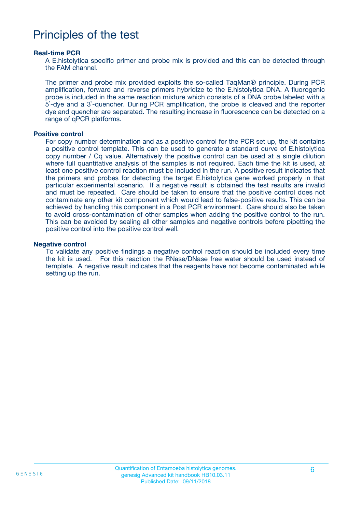### Principles of the test

#### **Real-time PCR**

A E.histolytica specific primer and probe mix is provided and this can be detected through the FAM channel.

The primer and probe mix provided exploits the so-called TaqMan® principle. During PCR amplification, forward and reverse primers hybridize to the E.histolytica DNA. A fluorogenic probe is included in the same reaction mixture which consists of a DNA probe labeled with a 5`-dye and a 3`-quencher. During PCR amplification, the probe is cleaved and the reporter dye and quencher are separated. The resulting increase in fluorescence can be detected on a range of qPCR platforms.

#### **Positive control**

For copy number determination and as a positive control for the PCR set up, the kit contains a positive control template. This can be used to generate a standard curve of E.histolytica copy number / Cq value. Alternatively the positive control can be used at a single dilution where full quantitative analysis of the samples is not required. Each time the kit is used, at least one positive control reaction must be included in the run. A positive result indicates that the primers and probes for detecting the target E.histolytica gene worked properly in that particular experimental scenario. If a negative result is obtained the test results are invalid and must be repeated. Care should be taken to ensure that the positive control does not contaminate any other kit component which would lead to false-positive results. This can be achieved by handling this component in a Post PCR environment. Care should also be taken to avoid cross-contamination of other samples when adding the positive control to the run. This can be avoided by sealing all other samples and negative controls before pipetting the positive control into the positive control well.

#### **Negative control**

To validate any positive findings a negative control reaction should be included every time the kit is used. For this reaction the RNase/DNase free water should be used instead of template. A negative result indicates that the reagents have not become contaminated while setting up the run.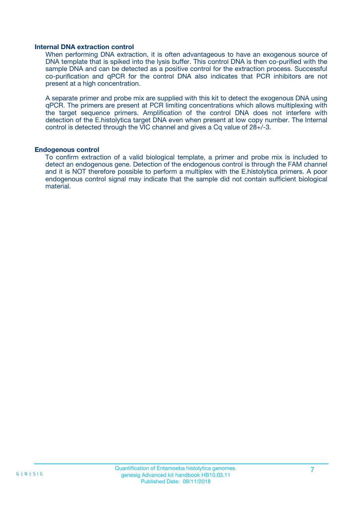#### **Internal DNA extraction control**

When performing DNA extraction, it is often advantageous to have an exogenous source of DNA template that is spiked into the lysis buffer. This control DNA is then co-purified with the sample DNA and can be detected as a positive control for the extraction process. Successful co-purification and qPCR for the control DNA also indicates that PCR inhibitors are not present at a high concentration.

A separate primer and probe mix are supplied with this kit to detect the exogenous DNA using qPCR. The primers are present at PCR limiting concentrations which allows multiplexing with the target sequence primers. Amplification of the control DNA does not interfere with detection of the E.histolytica target DNA even when present at low copy number. The Internal control is detected through the VIC channel and gives a Cq value of 28+/-3.

#### **Endogenous control**

To confirm extraction of a valid biological template, a primer and probe mix is included to detect an endogenous gene. Detection of the endogenous control is through the FAM channel and it is NOT therefore possible to perform a multiplex with the E.histolytica primers. A poor endogenous control signal may indicate that the sample did not contain sufficient biological material.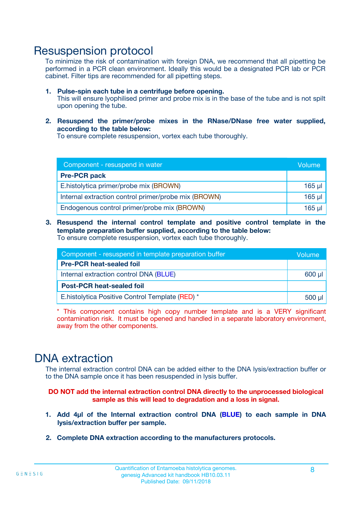### Resuspension protocol

To minimize the risk of contamination with foreign DNA, we recommend that all pipetting be performed in a PCR clean environment. Ideally this would be a designated PCR lab or PCR cabinet. Filter tips are recommended for all pipetting steps.

- **1. Pulse-spin each tube in a centrifuge before opening.** This will ensure lyophilised primer and probe mix is in the base of the tube and is not spilt upon opening the tube.
- **2. Resuspend the primer/probe mixes in the RNase/DNase free water supplied, according to the table below:**

To ensure complete resuspension, vortex each tube thoroughly.

| Component - resuspend in water                       |          |  |
|------------------------------------------------------|----------|--|
| <b>Pre-PCR pack</b>                                  |          |  |
| E.histolytica primer/probe mix (BROWN)               | $165$ µl |  |
| Internal extraction control primer/probe mix (BROWN) | $165$ µl |  |
| Endogenous control primer/probe mix (BROWN)          | 165 µl   |  |

**3. Resuspend the internal control template and positive control template in the template preparation buffer supplied, according to the table below:** To ensure complete resuspension, vortex each tube thoroughly.

| Component - resuspend in template preparation buffer |  |  |  |
|------------------------------------------------------|--|--|--|
| <b>Pre-PCR heat-sealed foil</b>                      |  |  |  |
| Internal extraction control DNA (BLUE)               |  |  |  |
| <b>Post-PCR heat-sealed foil</b>                     |  |  |  |
| E. histolytica Positive Control Template (RED) *     |  |  |  |

\* This component contains high copy number template and is a VERY significant contamination risk. It must be opened and handled in a separate laboratory environment, away from the other components.

### DNA extraction

The internal extraction control DNA can be added either to the DNA lysis/extraction buffer or to the DNA sample once it has been resuspended in lysis buffer.

**DO NOT add the internal extraction control DNA directly to the unprocessed biological sample as this will lead to degradation and a loss in signal.**

- **1. Add 4µl of the Internal extraction control DNA (BLUE) to each sample in DNA lysis/extraction buffer per sample.**
- **2. Complete DNA extraction according to the manufacturers protocols.**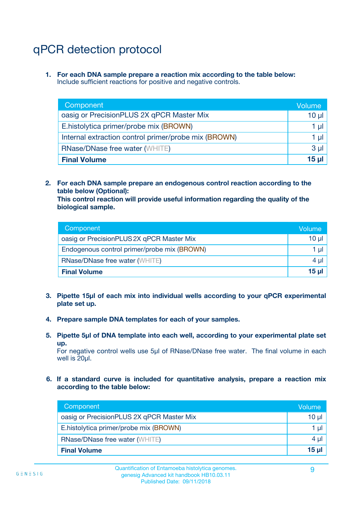# qPCR detection protocol

**1. For each DNA sample prepare a reaction mix according to the table below:** Include sufficient reactions for positive and negative controls.

| Component                                            | Volume   |
|------------------------------------------------------|----------|
| oasig or PrecisionPLUS 2X qPCR Master Mix            | $10 \mu$ |
| E.histolytica primer/probe mix (BROWN)               | 1 µI l   |
| Internal extraction control primer/probe mix (BROWN) | 1 µl     |
| <b>RNase/DNase free water (WHITE)</b>                | $3 \mu$  |
| <b>Final Volume</b>                                  | 15 µl    |

**2. For each DNA sample prepare an endogenous control reaction according to the table below (Optional):**

**This control reaction will provide useful information regarding the quality of the biological sample.**

| Component                                   | Volume   |
|---------------------------------------------|----------|
| oasig or PrecisionPLUS 2X qPCR Master Mix   | $10 \mu$ |
| Endogenous control primer/probe mix (BROWN) | 1 µI     |
| <b>RNase/DNase free water (WHITE)</b>       | $4 \mu$  |
| <b>Final Volume</b>                         | 15 µl    |

- **3. Pipette 15µl of each mix into individual wells according to your qPCR experimental plate set up.**
- **4. Prepare sample DNA templates for each of your samples.**
- **5. Pipette 5µl of DNA template into each well, according to your experimental plate set up.**

For negative control wells use 5µl of RNase/DNase free water. The final volume in each well is 20ul.

**6. If a standard curve is included for quantitative analysis, prepare a reaction mix according to the table below:**

| Component                                 | Volume   |
|-------------------------------------------|----------|
| oasig or PrecisionPLUS 2X qPCR Master Mix | 10 µl    |
| E.histolytica primer/probe mix (BROWN)    | 1 µI     |
| <b>RNase/DNase free water (WHITE)</b>     | $4 \mu$  |
| <b>Final Volume</b>                       | $15 \mu$ |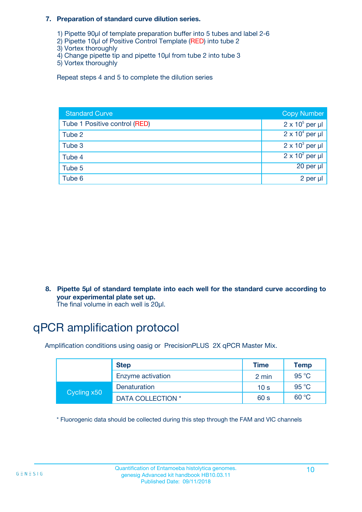#### **7. Preparation of standard curve dilution series.**

- 1) Pipette 90µl of template preparation buffer into 5 tubes and label 2-6
- 2) Pipette 10µl of Positive Control Template (RED) into tube 2
- 3) Vortex thoroughly
- 4) Change pipette tip and pipette 10µl from tube 2 into tube 3
- 5) Vortex thoroughly

Repeat steps 4 and 5 to complete the dilution series

| <b>Standard Curve</b>         | <b>Copy Number</b>     |
|-------------------------------|------------------------|
| Tube 1 Positive control (RED) | $2 \times 10^5$ per µl |
| Tube 2                        | $2 \times 10^4$ per µl |
| Tube 3                        | $2 \times 10^3$ per µl |
| Tube 4                        | $2 \times 10^2$ per µl |
| Tube 5                        | 20 per µl              |
| Tube 6                        | 2 per µl               |

**8. Pipette 5µl of standard template into each well for the standard curve according to your experimental plate set up.**

#### The final volume in each well is 20µl.

## qPCR amplification protocol

Amplification conditions using oasig or PrecisionPLUS 2X qPCR Master Mix.

|             | <b>Step</b>       | <b>Time</b>     | Temp    |
|-------------|-------------------|-----------------|---------|
|             | Enzyme activation | 2 min           | 95 °C   |
| Cycling x50 | Denaturation      | 10 <sub>s</sub> | 95 $°C$ |
|             | DATA COLLECTION * | 60 s            | 60 °C   |

\* Fluorogenic data should be collected during this step through the FAM and VIC channels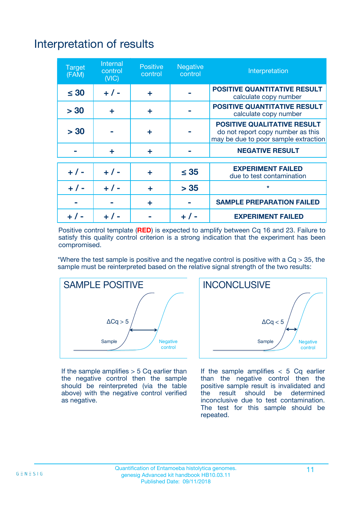# Interpretation of results

| <b>Target</b><br>(FAM) | Internal<br>control<br>(NIC) | <b>Positive</b><br>control | Negative<br>control | Interpretation                                                                                                  |
|------------------------|------------------------------|----------------------------|---------------------|-----------------------------------------------------------------------------------------------------------------|
| $\leq 30$              | $+ 1 -$                      | ÷                          |                     | <b>POSITIVE QUANTITATIVE RESULT</b><br>calculate copy number                                                    |
| > 30                   | ÷                            | ÷                          |                     | <b>POSITIVE QUANTITATIVE RESULT</b><br>calculate copy number                                                    |
| > 30                   |                              | ÷                          |                     | <b>POSITIVE QUALITATIVE RESULT</b><br>do not report copy number as this<br>may be due to poor sample extraction |
|                        | ÷                            | ÷                          |                     | <b>NEGATIVE RESULT</b>                                                                                          |
|                        |                              |                            |                     | <b>EXPERIMENT FAILED</b>                                                                                        |
| $+ 1 -$                | $+ 1 -$                      | ÷                          | $\leq 35$           | due to test contamination                                                                                       |
| $+ 1 -$                | $+ 1 -$                      | ÷                          | > 35                | $\star$                                                                                                         |
|                        |                              | ÷                          |                     | <b>SAMPLE PREPARATION FAILED</b>                                                                                |
|                        |                              |                            |                     | <b>EXPERIMENT FAILED</b>                                                                                        |

Positive control template (**RED**) is expected to amplify between Cq 16 and 23. Failure to satisfy this quality control criterion is a strong indication that the experiment has been compromised.

\*Where the test sample is positive and the negative control is positive with a  $Ca > 35$ , the sample must be reinterpreted based on the relative signal strength of the two results:



If the sample amplifies  $> 5$  Cq earlier than the negative control then the sample should be reinterpreted (via the table above) with the negative control verified as negative.



If the sample amplifies  $< 5$  Cq earlier than the negative control then the positive sample result is invalidated and<br>the result should be determined  $the$  result should be inconclusive due to test contamination. The test for this sample should be repeated.